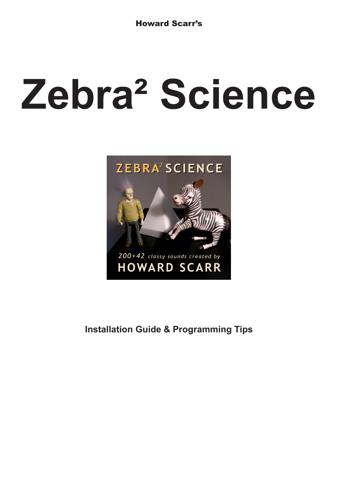# **Zebra² Science**



**Installation Guide & Programming Tips**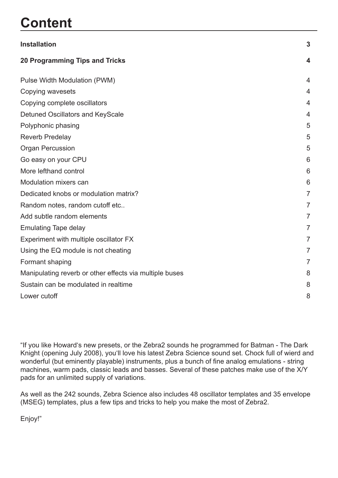# **Content**

| <b>Installation</b>                                     | 3                |
|---------------------------------------------------------|------------------|
| <b>20 Programming Tips and Tricks</b>                   | $\boldsymbol{4}$ |
| Pulse Width Modulation (PWM)                            | $\overline{4}$   |
| Copying wavesets                                        | 4                |
| Copying complete oscillators                            | 4                |
| Detuned Oscillators and KeyScale                        | $\overline{4}$   |
| Polyphonic phasing                                      | 5                |
| <b>Reverb Predelay</b>                                  | 5                |
| <b>Organ Percussion</b>                                 | 5                |
| Go easy on your CPU                                     | 6                |
| More lefthand control                                   | 6                |
| Modulation mixers can                                   | 6                |
| Dedicated knobs or modulation matrix?                   | $\overline{7}$   |
| Random notes, random cutoff etc                         | $\overline{7}$   |
| Add subtle random elements                              | 7                |
| <b>Emulating Tape delay</b>                             | $\overline{7}$   |
| Experiment with multiple oscillator FX                  | $\overline{7}$   |
| Using the EQ module is not cheating                     | 7                |
| Formant shaping                                         | $\overline{7}$   |
| Manipulating reverb or other effects via multiple buses | 8                |
| Sustain can be modulated in realtime                    | 8                |
| Lower cutoff                                            | 8                |

"If you like Howard's new presets, or the Zebra2 sounds he programmed for Batman - The Dark Knight (opening July 2008), you'll love his latest Zebra Science sound set. Chock full of wierd and wonderful (but eminently playable) instruments, plus a bunch of fine analog emulations - string machines, warm pads, classic leads and basses. Several of these patches make use of the X/Y pads for an unlimited supply of variations.

As well as the 242 sounds, Zebra Science also includes 48 oscillator templates and 35 envelope (MSEG) templates, plus a few tips and tricks to help you make the most of Zebra2.

Enjoy!"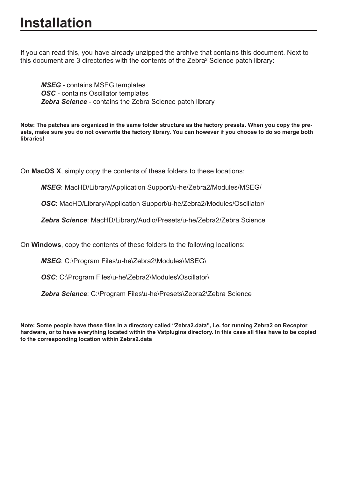# <span id="page-2-0"></span>**Installation**

If you can read this, you have already unzipped the archive that contains this document. Next to this document are 3 directories with the contents of the Zebra² Science patch library:

*MSEG* - contains MSEG templates *OSC* - contains Oscillator templates *Zebra Science* - contains the Zebra Science patch library

**Note: The patches are organized in the same folder structure as the factory presets. When you copy the presets, make sure you do not overwrite the factory library. You can however if you choose to do so merge both libraries!**

On **MacOS X**, simply copy the contents of these folders to these locations:

*MSEG*: MacHD/Library/Application Support/u-he/Zebra2/Modules/MSEG/

*OSC*: MacHD/Library/Application Support/u-he/Zebra2/Modules/Oscillator/

*Zebra Science*: MacHD/Library/Audio/Presets/u-he/Zebra2/Zebra Science

On **Windows**, copy the contents of these folders to the following locations:

*MSEG*: C:\Program Files\u-he\Zebra2\Modules\MSEG\

**OSC:** C:\Program Files\u-he\Zebra2\Modules\Oscillator\

*Zebra Science*: C:\Program Files\u-he\Presets\Zebra2\Zebra Science

**Note: Some people have these files in a directory called "Zebra2.data", i.e. for running Zebra2 on Receptor hardware, or to have everything located within the Vstplugins directory. In this case all files have to be copied to the corresponding location within Zebra2.data**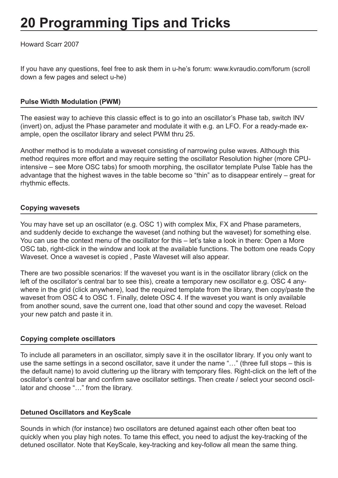# <span id="page-3-0"></span>**20 Programming Tips and Tricks**

Howard Scarr 2007

If you have any questions, feel free to ask them in u-he's forum: www.kvraudio.com/forum (scroll down a few pages and select u-he)

# **Pulse Width Modulation (PWM)**

The easiest way to achieve this classic effect is to go into an oscillator's Phase tab, switch INV (invert) on, adjust the Phase parameter and modulate it with e.g. an LFO. For a ready-made example, open the oscillator library and select PWM thru 25.

Another method is to modulate a waveset consisting of narrowing pulse waves. Although this method requires more effort and may require setting the oscillator Resolution higher (more CPUintensive – see More OSC tabs) for smooth morphing, the oscillator template Pulse Table has the advantage that the highest waves in the table become so "thin" as to disappear entirely – great for rhythmic effects.

# **Copying wavesets**

You may have set up an oscillator (e.g. OSC 1) with complex Mix, FX and Phase parameters, and suddenly decide to exchange the waveset (and nothing but the waveset) for something else. You can use the context menu of the oscillator for this - let's take a look in there: Open a More OSC tab, right-click in the window and look at the available functions. The bottom one reads Copy Waveset. Once a waveset is copied , Paste Waveset will also appear.

There are two possible scenarios: If the waveset you want is in the oscillator library (click on the left of the oscillator's central bar to see this), create a temporary new oscillator e.g. OSC 4 anywhere in the grid (click anywhere), load the required template from the library, then copy/paste the waveset from OSC 4 to OSC 1. Finally, delete OSC 4. If the waveset you want is only available from another sound, save the current one, load that other sound and copy the waveset. Reload your new patch and paste it in.

#### **Copying complete oscillators**

To include all parameters in an oscillator, simply save it in the oscillator library. If you only want to use the same settings in a second oscillator, save it under the name "…" (three full stops – this is the default name) to avoid cluttering up the library with temporary files. Right-click on the left of the oscillator's central bar and confirm save oscillator settings. Then create / select your second oscillator and choose "…" from the library.

#### **Detuned Oscillators and KeyScale**

Sounds in which (for instance) two oscillators are detuned against each other often beat too quickly when you play high notes. To tame this effect, you need to adjust the key-tracking of the detuned oscillator. Note that KeyScale, key-tracking and key-follow all mean the same thing.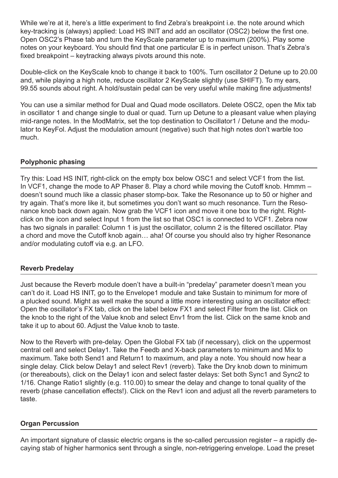<span id="page-4-0"></span>While we're at it, here's a little experiment to find Zebra's breakpoint i.e. the note around which key-tracking is (always) applied: Load HS INIT and add an oscillator (OSC2) below the first one. Open OSC2's Phase tab and turn the KeyScale parameter up to maximum (200%). Play some notes on your keyboard. You should find that one particular E is in perfect unison. That's Zebra's fixed breakpoint – keytracking always pivots around this note.

Double-click on the KeyScale knob to change it back to 100%. Turn oscillator 2 Detune up to 20.00 and, while playing a high note, reduce oscillator 2 KeyScale slightly (use SHIFT). To my ears, 99.55 sounds about right. A hold/sustain pedal can be very useful while making fine adjustments!

You can use a similar method for Dual and Quad mode oscillators. Delete OSC2, open the Mix tab in oscillator 1 and change single to dual or quad. Turn up Detune to a pleasant value when playing mid-range notes. In the ModMatrix, set the top destination to Oscillator1 / Detune and the modulator to KeyFol. Adjust the modulation amount (negative) such that high notes don't warble too much.

# **Polyphonic phasing**

Try this: Load HS INIT, right-click on the empty box below OSC1 and select VCF1 from the list. In VCF1, change the mode to AP Phaser 8. Play a chord while moving the Cutoff knob. Hmmm – doesn't sound much like a classic phaser stomp-box. Take the Resonance up to 50 or higher and try again. That's more like it, but sometimes you don't want so much resonance. Turn the Resonance knob back down again. Now grab the VCF1 icon and move it one box to the right. Rightclick on the icon and select Input 1 from the list so that OSC1 is connected to VCF1. Zebra now has two signals in parallel: Column 1 is just the oscillator, column 2 is the filtered oscillator. Play a chord and move the Cutoff knob again… aha! Of course you should also try higher Resonance and/or modulating cutoff via e.g. an LFO.

# **Reverb Predelay**

Just because the Reverb module doen't have a built-in "predelay" parameter doesn't mean you can't do it. Load HS INIT, go to the Envelope1 module and take Sustain to minimum for more of a plucked sound. Might as well make the sound a little more interesting using an oscillator effect: Open the oscillator's FX tab, click on the label below FX1 and select Filter from the list. Click on the knob to the right of the Value knob and select Env1 from the list. Click on the same knob and take it up to about 60. Adjust the Value knob to taste.

Now to the Reverb with pre-delay. Open the Global FX tab (if necessary), click on the uppermost central cell and select Delay1. Take the Feedb and X-back parameters to minimum and Mix to maximum. Take both Send1 and Return1 to maximum, and play a note. You should now hear a single delay. Click below Delay1 and select Rev1 (reverb). Take the Dry knob down to minimum (or thereabouts), click on the Delay1 icon and select faster delays: Set both Sync1 and Sync2 to 1/16. Change Ratio1 slightly (e.g. 110.00) to smear the delay and change to tonal quality of the reverb (phase cancellation effects!). Click on the Rev1 icon and adjust all the reverb parameters to taste.

# **Organ Percussion**

An important signature of classic electric organs is the so-called percussion register – a rapidly decaying stab of higher harmonics sent through a single, non-retriggering envelope. Load the preset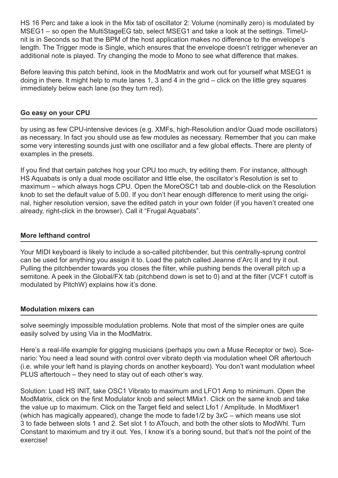<span id="page-5-0"></span>HS 16 Perc and take a look in the Mix tab of oscillator 2: Volume (nominally zero) is modulated by MSEG1 – so open the MultiStageEG tab, select MSEG1 and take a look at the settings. TimeUnit is in Seconds so that the BPM of the host application makes no difference to the envelope's length. The Trigger mode is Single, which ensures that the envelope doesn't retrigger whenever an additional note is played. Try changing the mode to Mono to see what difference that makes.

Before leaving this patch behind, look in the ModMatrix and work out for yourself what MSEG1 is doing in there. It might help to mute lanes 1, 3 and 4 in the grid – click on the little grey squares immediately below each lane (so they turn red).

# **Go easy on your CPU**

by using as few CPU-intensive devices (e.g. XMFs, high-Resolution and/or Quad mode oscillators) as necessary. In fact you should use as few modules as necessary. Remember that you can make some very interesting sounds just with one oscillator and a few global effects. There are plenty of examples in the presets.

If you find that certain patches hog your CPU too much, try editing them. For instance, although HS Aquabats is only a dual mode oscillator and little else, the oscillator's Resolution is set to maximum – which always hogs CPU. Open the MoreOSC1 tab and double-click on the Resolution knob to set the default value of 5.00. If you don't hear enough difference to merit using the original, higher resolution version, save the edited patch in your own folder (if you haven't created one already, right-click in the browser). Call it "Frugal Aquabats".

#### **More lefthand control**

Your MIDI keyboard is likely to include a so-called pitchbender, but this centrally-sprung control can be used for anything you assign it to. Load the patch called Jeanne d'Arc II and try it out. Pulling the pitchbender towards you closes the filter, while pushing bends the overall pitch up a semitone. A peek in the Global/FX tab (pitchbend down is set to 0) and at the filter (VCF1 cutoff is modulated by PitchW) explains how it's done.

#### **Modulation mixers can**

solve seemingly impossible modulation problems. Note that most of the simpler ones are quite easily solved by using Via in the ModMatrix.

Here's a real-life example for gigging musicians (perhaps you own a Muse Receptor or two). Scenario: You need a lead sound with control over vibrato depth via modulation wheel OR aftertouch (i.e. while your left hand is playing chords on another keyboard). You don't want modulation wheel PLUS aftertouch – they need to stay out of each other's way.

Solution: Load HS INIT, take OSC1 Vibrato to maximum and LFO1 Amp to minimum. Open the ModMatrix, click on the first Modulator knob and select MMix1. Click on the same knob and take the value up to maximum. Click on the Target field and select Lfo1 / Amplitude. In ModMixer1 (which has magically appeared), change the mode to fade1/2 by 3xC – which means use slot 3 to fade between slots 1 and 2. Set slot 1 to ATouch, and both the other slots to ModWhl. Turn Constant to maximum and try it out. Yes, I know it's a boring sound, but that's not the point of the exercise!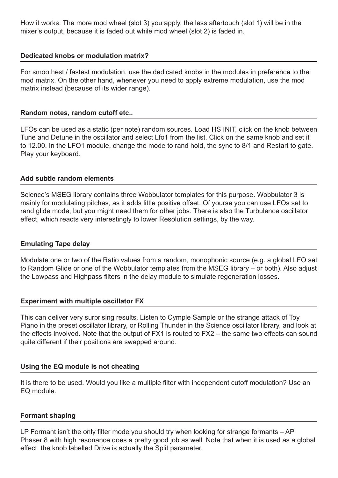<span id="page-6-0"></span>How it works: The more mod wheel (slot 3) you apply, the less aftertouch (slot 1) will be in the mixer's output, because it is faded out while mod wheel (slot 2) is faded in.

# **Dedicated knobs or modulation matrix?**

For smoothest / fastest modulation, use the dedicated knobs in the modules in preference to the mod matrix. On the other hand, whenever you need to apply extreme modulation, use the mod matrix instead (because of its wider range).

#### **Random notes, random cutoff etc..**

LFOs can be used as a static (per note) random sources. Load HS INIT, click on the knob between Tune and Detune in the oscillator and select Lfo1 from the list. Click on the same knob and set it to 12.00. In the LFO1 module, change the mode to rand hold, the sync to 8/1 and Restart to gate. Play your keyboard.

### **Add subtle random elements**

Science's MSEG library contains three Wobbulator templates for this purpose. Wobbulator 3 is mainly for modulating pitches, as it adds little positive offset. Of yourse you can use LFOs set to rand glide mode, but you might need them for other jobs. There is also the Turbulence oscillator effect, which reacts very interestingly to lower Resolution settings, by the way.

# **Emulating Tape delay**

Modulate one or two of the Ratio values from a random, monophonic source (e.g. a global LFO set to Random Glide or one of the Wobbulator templates from the MSEG library – or both). Also adjust the Lowpass and Highpass filters in the delay module to simulate regeneration losses.

#### **Experiment with multiple oscillator FX**

This can deliver very surprising results. Listen to Cymple Sample or the strange attack of Toy Piano in the preset oscillator library, or Rolling Thunder in the Science oscillator library, and look at the effects involved. Note that the output of FX1 is routed to FX2 – the same two effects can sound quite different if their positions are swapped around.

#### **Using the EQ module is not cheating**

It is there to be used. Would you like a multiple filter with independent cutoff modulation? Use an EQ module.

#### **Formant shaping**

LP Formant isn't the only filter mode you should try when looking for strange formants – AP Phaser 8 with high resonance does a pretty good job as well. Note that when it is used as a global effect, the knob labelled Drive is actually the Split parameter.